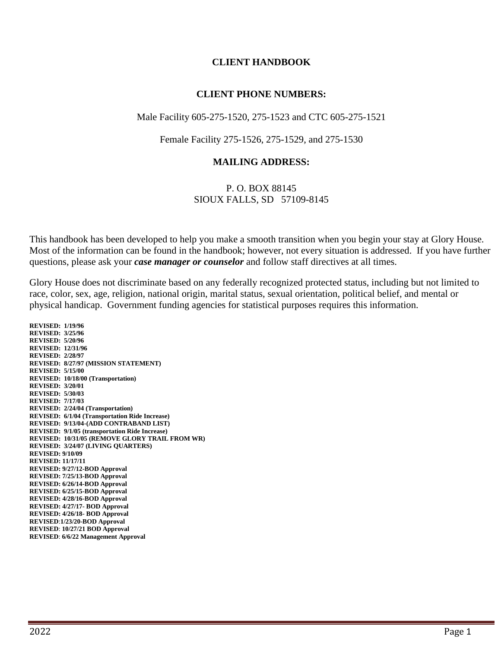#### **CLIENT HANDBOOK**

#### **CLIENT PHONE NUMBERS:**

#### Male Facility 605-275-1520, 275-1523 and CTC 605-275-1521

Female Facility 275-1526, 275-1529, and 275-1530

#### **MAILING ADDRESS:**

#### P. O. BOX 88145 SIOUX FALLS, SD 57109-8145

This handbook has been developed to help you make a smooth transition when you begin your stay at Glory House. Most of the information can be found in the handbook; however, not every situation is addressed. If you have further questions, please ask your *case manager or counselor* and follow staff directives at all times.

Glory House does not discriminate based on any federally recognized protected status, including but not limited to race, color, sex, age, religion, national origin, marital status, sexual orientation, political belief, and mental or physical handicap. Government funding agencies for statistical purposes requires this information.

**REVISED: 1/19/96 REVISED: 3/25/96 REVISED: 5/20/96 REVISED: 12/31/96 REVISED: 2/28/97 REVISED: 8/27/97 (MISSION STATEMENT) REVISED: 5/15/00 REVISED: 10/18/00 (Transportation) REVISED: 3/20/01 REVISED: 5/30/03 REVISED: 7/17/03 REVISED: 2/24/04 (Transportation) REVISED: 6/1/04 (Transportation Ride Increase) REVISED: 9/13/04-(ADD CONTRABAND LIST) REVISED: 9/1/05 (transportation Ride Increase) REVISED: 10/31/05 (REMOVE GLORY TRAIL FROM WR) REVISED: 3/24/07 (LIVING QUARTERS) REVISED: 9/10/09 REVISED: 11/17/11 REVISED: 9/27/12-BOD Approval REVISED: 7/25/13-BOD Approval REVISED: 6/26/14-BOD Approval REVISED: 6/25/15-BOD Approval REVISED: 4/28/16-BOD Approval REVISED: 4/27/17- BOD Approval REVISED: 4/26/18- BOD Approval REVISED**:**1/23/20-BOD Approval REVISED**: **10/27/21 BOD Approval REVISED**: **6/6/22 Management Approval**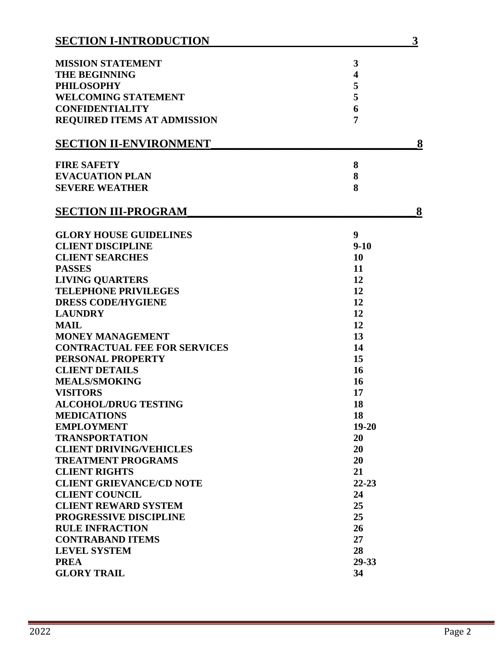| <b>SECTION I-INTRODUCTION</b>       |                         | 3 |
|-------------------------------------|-------------------------|---|
| <b>MISSION STATEMENT</b>            | 3                       |   |
| <b>THE BEGINNING</b>                | $\overline{\mathbf{4}}$ |   |
| <b>PHILOSOPHY</b>                   | 5                       |   |
| <b>WELCOMING STATEMENT</b>          | 5                       |   |
| <b>CONFIDENTIALITY</b>              | 6                       |   |
| <b>REQUIRED ITEMS AT ADMISSION</b>  | 7                       |   |
| <b>SECTION II-ENVIRONMENT</b>       |                         | 8 |
| <b>FIRE SAFETY</b>                  | 8                       |   |
| <b>EVACUATION PLAN</b>              | 8                       |   |
| <b>SEVERE WEATHER</b>               | 8                       |   |
| <b>SECTION III-PROGRAM</b>          |                         | 8 |
| <b>GLORY HOUSE GUIDELINES</b>       | 9                       |   |
| <b>CLIENT DISCIPLINE</b>            | $9 - 10$                |   |
| <b>CLIENT SEARCHES</b>              | 10                      |   |
| <b>PASSES</b>                       | 11                      |   |
| <b>LIVING QUARTERS</b>              | 12                      |   |
| <b>TELEPHONE PRIVILEGES</b>         | 12                      |   |
| <b>DRESS CODE/HYGIENE</b>           | 12                      |   |
| <b>LAUNDRY</b>                      | 12                      |   |
| <b>MAIL</b>                         | 12                      |   |
| <b>MONEY MANAGEMENT</b>             | 13                      |   |
| <b>CONTRACTUAL FEE FOR SERVICES</b> | 14                      |   |
| PERSONAL PROPERTY                   | 15                      |   |
| <b>CLIENT DETAILS</b>               | 16                      |   |
| <b>MEALS/SMOKING</b>                | <b>16</b>               |   |
| <b>VISITORS</b>                     | 17                      |   |
| <b>ALCOHOL/DRUG TESTING</b>         | 18                      |   |
| <b>MEDICATIONS</b>                  | 18                      |   |
| <b>EMPLOYMENT</b>                   | $19 - 20$               |   |
| <b>TRANSPORTATION</b>               | 20                      |   |
| <b>CLIENT DRIVING/VEHICLES</b>      | 20                      |   |
| <b>TREATMENT PROGRAMS</b>           | 20                      |   |
| <b>CLIENT RIGHTS</b>                | 21                      |   |
| <b>CLIENT GRIEVANCE/CD NOTE</b>     | $22 - 23$               |   |
| <b>CLIENT COUNCIL</b>               | 24                      |   |
| <b>CLIENT REWARD SYSTEM</b>         | 25                      |   |
| <b>PROGRESSIVE DISCIPLINE</b>       | 25                      |   |
| <b>RULE INFRACTION</b>              | 26                      |   |
| <b>CONTRABAND ITEMS</b>             | 27                      |   |
| <b>LEVEL SYSTEM</b>                 | 28                      |   |
| <b>PREA</b>                         | 29-33                   |   |
| <b>GLORY TRAIL</b>                  | 34                      |   |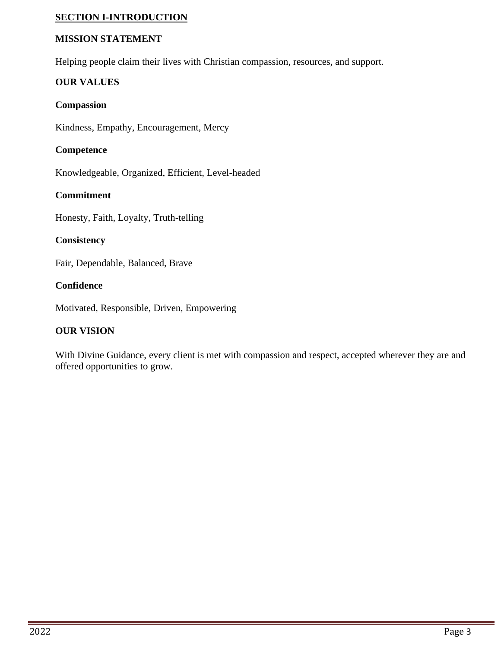### **SECTION I-INTRODUCTION**

#### **MISSION STATEMENT**

Helping people claim their lives with Christian compassion, resources, and support.

#### **OUR VALUES**

#### **Compassion**

Kindness, Empathy, Encouragement, Mercy

#### **Competence**

Knowledgeable, Organized, Efficient, Level-headed

### **Commitment**

Honesty, Faith, Loyalty, Truth-telling

#### **Consistency**

Fair, Dependable, Balanced, Brave

### **Confidence**

Motivated, Responsible, Driven, Empowering

### **OUR VISION**

With Divine Guidance, every client is met with compassion and respect, accepted wherever they are and offered opportunities to grow.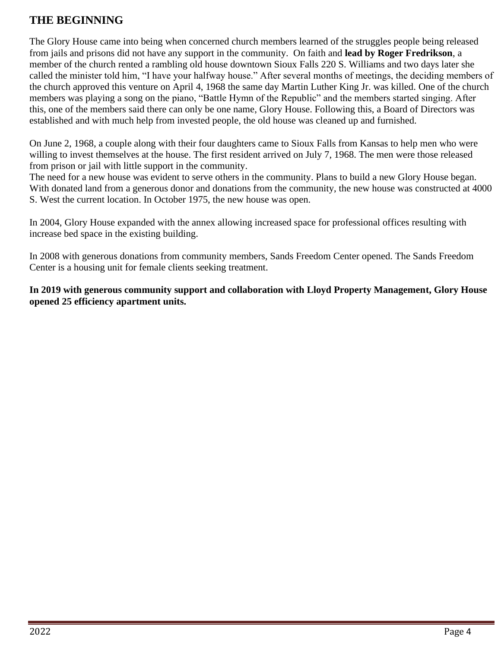# **THE BEGINNING**

The Glory House came into being when concerned church members learned of the struggles people being released from jails and prisons did not have any support in the community. On faith and **lead by Roger Fredrikson**, a member of the church rented a rambling old house downtown Sioux Falls 220 S. Williams and two days later she called the minister told him, "I have your halfway house." After several months of meetings, the deciding members of the church approved this venture on April 4, 1968 the same day Martin Luther King Jr. was killed. One of the church members was playing a song on the piano, "Battle Hymn of the Republic" and the members started singing. After this, one of the members said there can only be one name, Glory House. Following this, a Board of Directors was established and with much help from invested people, the old house was cleaned up and furnished.

On June 2, 1968, a couple along with their four daughters came to Sioux Falls from Kansas to help men who were willing to invest themselves at the house. The first resident arrived on July 7, 1968. The men were those released from prison or jail with little support in the community.

The need for a new house was evident to serve others in the community. Plans to build a new Glory House began. With donated land from a generous donor and donations from the community, the new house was constructed at 4000 S. West the current location. In October 1975, the new house was open.

In 2004, Glory House expanded with the annex allowing increased space for professional offices resulting with increase bed space in the existing building.

In 2008 with generous donations from community members, Sands Freedom Center opened. The Sands Freedom Center is a housing unit for female clients seeking treatment.

**In 2019 with generous community support and collaboration with Lloyd Property Management, Glory House opened 25 efficiency apartment units.**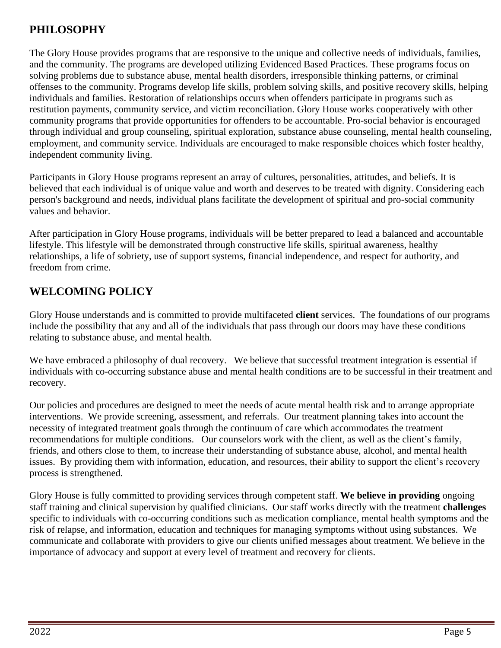# **PHILOSOPHY**

The Glory House provides programs that are responsive to the unique and collective needs of individuals, families, and the community. The programs are developed utilizing Evidenced Based Practices. These programs focus on solving problems due to substance abuse, mental health disorders, irresponsible thinking patterns, or criminal offenses to the community. Programs develop life skills, problem solving skills, and positive recovery skills, helping individuals and families. Restoration of relationships occurs when offenders participate in programs such as restitution payments, community service, and victim reconciliation. Glory House works cooperatively with other community programs that provide opportunities for offenders to be accountable. Pro-social behavior is encouraged through individual and group counseling, spiritual exploration, substance abuse counseling, mental health counseling, employment, and community service. Individuals are encouraged to make responsible choices which foster healthy, independent community living.

Participants in Glory House programs represent an array of cultures, personalities, attitudes, and beliefs. It is believed that each individual is of unique value and worth and deserves to be treated with dignity. Considering each person's background and needs, individual plans facilitate the development of spiritual and pro-social community values and behavior.

After participation in Glory House programs, individuals will be better prepared to lead a balanced and accountable lifestyle. This lifestyle will be demonstrated through constructive life skills, spiritual awareness, healthy relationships, a life of sobriety, use of support systems, financial independence, and respect for authority, and freedom from crime.

# **WELCOMING POLICY**

Glory House understands and is committed to provide multifaceted **client** services. The foundations of our programs include the possibility that any and all of the individuals that pass through our doors may have these conditions relating to substance abuse, and mental health.

We have embraced a philosophy of dual recovery. We believe that successful treatment integration is essential if individuals with co-occurring substance abuse and mental health conditions are to be successful in their treatment and recovery.

Our policies and procedures are designed to meet the needs of acute mental health risk and to arrange appropriate interventions. We provide screening, assessment, and referrals. Our treatment planning takes into account the necessity of integrated treatment goals through the continuum of care which accommodates the treatment recommendations for multiple conditions. Our counselors work with the client, as well as the client's family, friends, and others close to them, to increase their understanding of substance abuse, alcohol, and mental health issues. By providing them with information, education, and resources, their ability to support the client's recovery process is strengthened.

Glory House is fully committed to providing services through competent staff. **We believe in providing** ongoing staff training and clinical supervision by qualified clinicians. Our staff works directly with the treatment **challenges** specific to individuals with co-occurring conditions such as medication compliance, mental health symptoms and the risk of relapse, and information, education and techniques for managing symptoms without using substances. We communicate and collaborate with providers to give our clients unified messages about treatment. We believe in the importance of advocacy and support at every level of treatment and recovery for clients.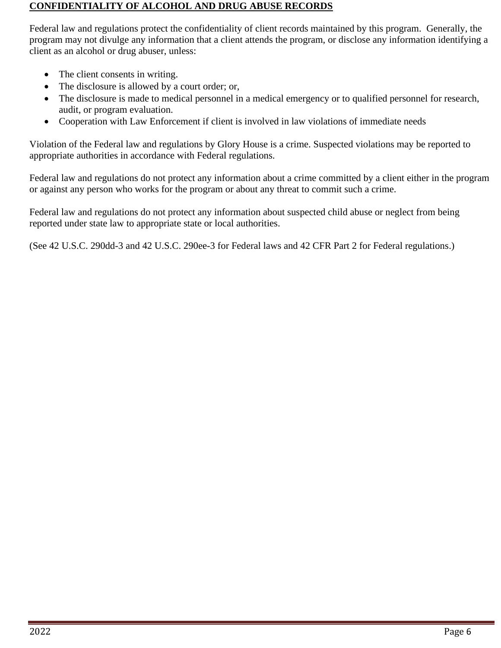#### **CONFIDENTIALITY OF ALCOHOL AND DRUG ABUSE RECORDS**

Federal law and regulations protect the confidentiality of client records maintained by this program. Generally, the program may not divulge any information that a client attends the program, or disclose any information identifying a client as an alcohol or drug abuser, unless:

- The client consents in writing.
- The disclosure is allowed by a court order; or,
- The disclosure is made to medical personnel in a medical emergency or to qualified personnel for research, audit, or program evaluation.
- Cooperation with Law Enforcement if client is involved in law violations of immediate needs

Violation of the Federal law and regulations by Glory House is a crime. Suspected violations may be reported to appropriate authorities in accordance with Federal regulations.

Federal law and regulations do not protect any information about a crime committed by a client either in the program or against any person who works for the program or about any threat to commit such a crime.

Federal law and regulations do not protect any information about suspected child abuse or neglect from being reported under state law to appropriate state or local authorities.

(See 42 U.S.C. 290dd-3 and 42 U.S.C. 290ee-3 for Federal laws and 42 CFR Part 2 for Federal regulations.)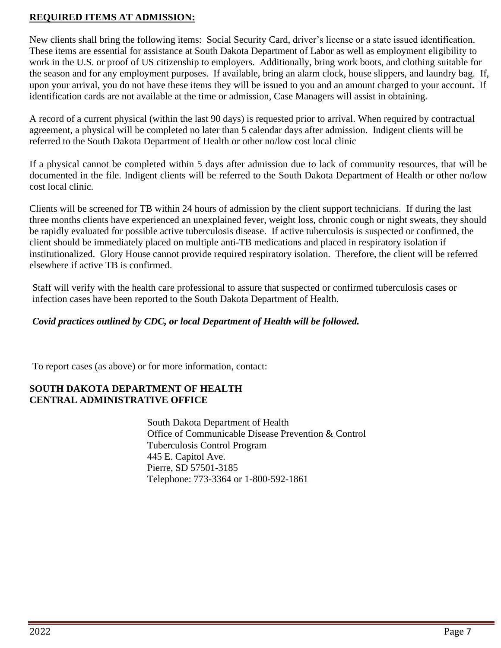### **REQUIRED ITEMS AT ADMISSION:**

New clients shall bring the following items: Social Security Card, driver's license or a state issued identification. These items are essential for assistance at South Dakota Department of Labor as well as employment eligibility to work in the U.S. or proof of US citizenship to employers. Additionally, bring work boots, and clothing suitable for the season and for any employment purposes. If available, bring an alarm clock, house slippers, and laundry bag. If, upon your arrival, you do not have these items they will be issued to you and an amount charged to your account**.** If identification cards are not available at the time or admission, Case Managers will assist in obtaining.

A record of a current physical (within the last 90 days) is requested prior to arrival. When required by contractual agreement, a physical will be completed no later than 5 calendar days after admission. Indigent clients will be referred to the South Dakota Department of Health or other no/low cost local clinic

If a physical cannot be completed within 5 days after admission due to lack of community resources, that will be documented in the file. Indigent clients will be referred to the South Dakota Department of Health or other no/low cost local clinic.

Clients will be screened for TB within 24 hours of admission by the client support technicians. If during the last three months clients have experienced an unexplained fever, weight loss, chronic cough or night sweats, they should be rapidly evaluated for possible active tuberculosis disease. If active tuberculosis is suspected or confirmed, the client should be immediately placed on multiple anti-TB medications and placed in respiratory isolation if institutionalized. Glory House cannot provide required respiratory isolation. Therefore, the client will be referred elsewhere if active TB is confirmed.

Staff will verify with the health care professional to assure that suspected or confirmed tuberculosis cases or infection cases have been reported to the South Dakota Department of Health.

## *Covid practices outlined by CDC, or local Department of Health will be followed.*

To report cases (as above) or for more information, contact:

### **SOUTH DAKOTA DEPARTMENT OF HEALTH CENTRAL ADMINISTRATIVE OFFICE**

South Dakota Department of Health Office of Communicable Disease Prevention & Control Tuberculosis Control Program 445 E. Capitol Ave. Pierre, SD 57501-3185 Telephone: 773-3364 or 1-800-592-1861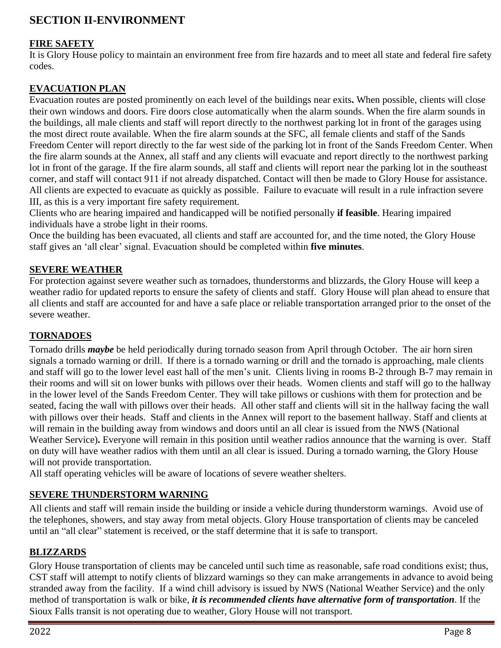# **SECTION II-ENVIRONMENT**

### **FIRE SAFETY**

It is Glory House policy to maintain an environment free from fire hazards and to meet all state and federal fire safety codes.

### **EVACUATION PLAN**

Evacuation routes are posted prominently on each level of the buildings near exits**.** When possible, clients will close their own windows and doors. Fire doors close automatically when the alarm sounds. When the fire alarm sounds in the buildings, all male clients and staff will report directly to the northwest parking lot in front of the garages using the most direct route available. When the fire alarm sounds at the SFC, all female clients and staff of the Sands Freedom Center will report directly to the far west side of the parking lot in front of the Sands Freedom Center. When the fire alarm sounds at the Annex, all staff and any clients will evacuate and report directly to the northwest parking lot in front of the garage. If the fire alarm sounds, all staff and clients will report near the parking lot in the southeast corner, and staff will contact 911 if not already dispatched. Contact will then be made to Glory House for assistance. All clients are expected to evacuate as quickly as possible. Failure to evacuate will result in a rule infraction severe III, as this is a very important fire safety requirement.

Clients who are hearing impaired and handicapped will be notified personally **if feasible**. Hearing impaired individuals have a strobe light in their rooms.

Once the building has been evacuated, all clients and staff are accounted for, and the time noted, the Glory House staff gives an 'all clear' signal. Evacuation should be completed within **five minutes**.

### **SEVERE WEATHER**

For protection against severe weather such as tornadoes, thunderstorms and blizzards, the Glory House will keep a weather radio for updated reports to ensure the safety of clients and staff. Glory House will plan ahead to ensure that all clients and staff are accounted for and have a safe place or reliable transportation arranged prior to the onset of the severe weather.

### **TORNADOES**

Tornado drills *maybe* be held periodically during tornado season from April through October. The air horn siren signals a tornado warning or drill. If there is a tornado warning or drill and the tornado is approaching, male clients and staff will go to the lower level east hall of the men's unit. Clients living in rooms B-2 through B-7 may remain in their rooms and will sit on lower bunks with pillows over their heads. Women clients and staff will go to the hallway in the lower level of the Sands Freedom Center. They will take pillows or cushions with them for protection and be seated, facing the wall with pillows over their heads. All other staff and clients will sit in the hallway facing the wall with pillows over their heads. Staff and clients in the Annex will report to the basement hallway. Staff and clients at will remain in the building away from windows and doors until an all clear is issued from the NWS (National Weather Service). Everyone will remain in this position until weather radios announce that the warning is over. Staff on duty will have weather radios with them until an all clear is issued. During a tornado warning, the Glory House will not provide transportation.

All staff operating vehicles will be aware of locations of severe weather shelters.

### **SEVERE THUNDERSTORM WARNING**

All clients and staff will remain inside the building or inside a vehicle during thunderstorm warnings. Avoid use of the telephones, showers, and stay away from metal objects. Glory House transportation of clients may be canceled until an "all clear" statement is received, or the staff determine that it is safe to transport.

### **BLIZZARDS**

Glory House transportation of clients may be canceled until such time as reasonable, safe road conditions exist; thus, CST staff will attempt to notify clients of blizzard warnings so they can make arrangements in advance to avoid being stranded away from the facility. If a wind chill advisory is issued by NWS (National Weather Service) and the only method of transportation is walk or bike, *it is recommended clients have alternative form of transportation*. If the Sioux Falls transit is not operating due to weather, Glory House will not transport.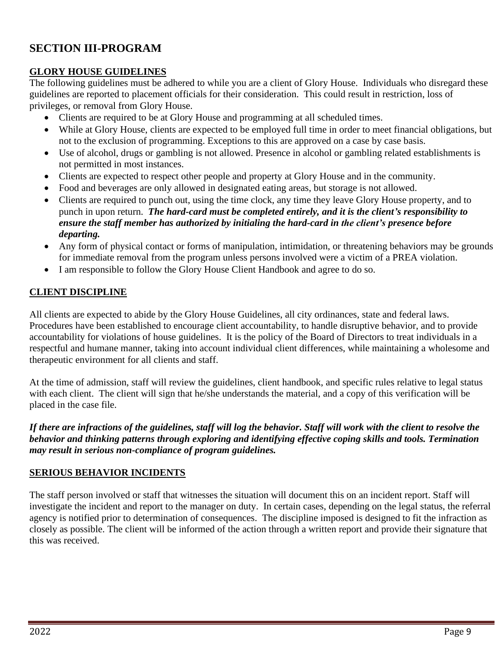# **SECTION III-PROGRAM**

### **GLORY HOUSE GUIDELINES**

The following guidelines must be adhered to while you are a client of Glory House. Individuals who disregard these guidelines are reported to placement officials for their consideration. This could result in restriction, loss of privileges, or removal from Glory House.

- Clients are required to be at Glory House and programming at all scheduled times.
- While at Glory House, clients are expected to be employed full time in order to meet financial obligations, but not to the exclusion of programming. Exceptions to this are approved on a case by case basis.
- Use of alcohol, drugs or gambling is not allowed. Presence in alcohol or gambling related establishments is not permitted in most instances.
- Clients are expected to respect other people and property at Glory House and in the community.
- Food and beverages are only allowed in designated eating areas, but storage is not allowed.
- Clients are required to punch out, using the time clock, any time they leave Glory House property, and to punch in upon return. *The hard-card must be completed entirely, and it is the client's responsibility to ensure the staff member has authorized by initialing the hard-card in the client's presence before departing.*
- Any form of physical contact or forms of manipulation, intimidation, or threatening behaviors may be grounds for immediate removal from the program unless persons involved were a victim of a PREA violation.
- I am responsible to follow the Glory House Client Handbook and agree to do so.

### **CLIENT DISCIPLINE**

All clients are expected to abide by the Glory House Guidelines, all city ordinances, state and federal laws. Procedures have been established to encourage client accountability, to handle disruptive behavior, and to provide accountability for violations of house guidelines. It is the policy of the Board of Directors to treat individuals in a respectful and humane manner, taking into account individual client differences, while maintaining a wholesome and therapeutic environment for all clients and staff.

At the time of admission, staff will review the guidelines, client handbook, and specific rules relative to legal status with each client. The client will sign that he/she understands the material, and a copy of this verification will be placed in the case file.

*If there are infractions of the guidelines, staff will log the behavior. Staff will work with the client to resolve the behavior and thinking patterns through exploring and identifying effective coping skills and tools. Termination may result in serious non-compliance of program guidelines.*

### **SERIOUS BEHAVIOR INCIDENTS**

The staff person involved or staff that witnesses the situation will document this on an incident report. Staff will investigate the incident and report to the manager on duty. In certain cases, depending on the legal status, the referral agency is notified prior to determination of consequences. The discipline imposed is designed to fit the infraction as closely as possible. The client will be informed of the action through a written report and provide their signature that this was received.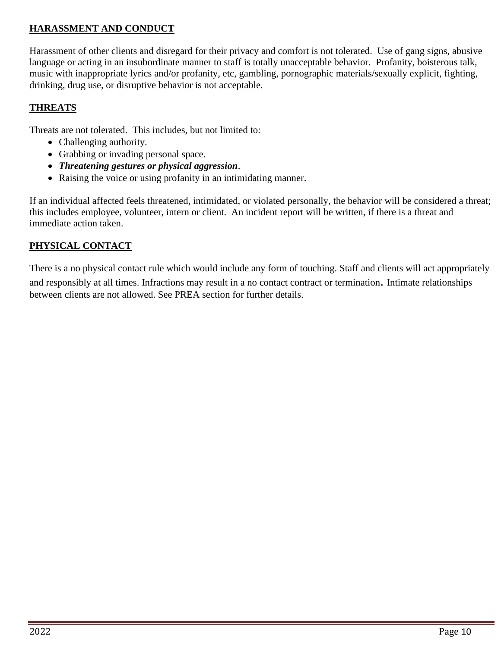### **HARASSMENT AND CONDUCT**

Harassment of other clients and disregard for their privacy and comfort is not tolerated. Use of gang signs, abusive language or acting in an insubordinate manner to staff is totally unacceptable behavior. Profanity, boisterous talk, music with inappropriate lyrics and/or profanity, etc, gambling, pornographic materials/sexually explicit, fighting, drinking, drug use, or disruptive behavior is not acceptable.

### **THREATS**

Threats are not tolerated. This includes, but not limited to:

- Challenging authority.
- Grabbing or invading personal space.
- *Threatening gestures or physical aggression*.
- Raising the voice or using profanity in an intimidating manner.

If an individual affected feels threatened, intimidated, or violated personally, the behavior will be considered a threat; this includes employee, volunteer, intern or client. An incident report will be written, if there is a threat and immediate action taken.

### **PHYSICAL CONTACT**

There is a no physical contact rule which would include any form of touching. Staff and clients will act appropriately and responsibly at all times. Infractions may result in a no contact contract or termination. Intimate relationships between clients are not allowed. See PREA section for further details.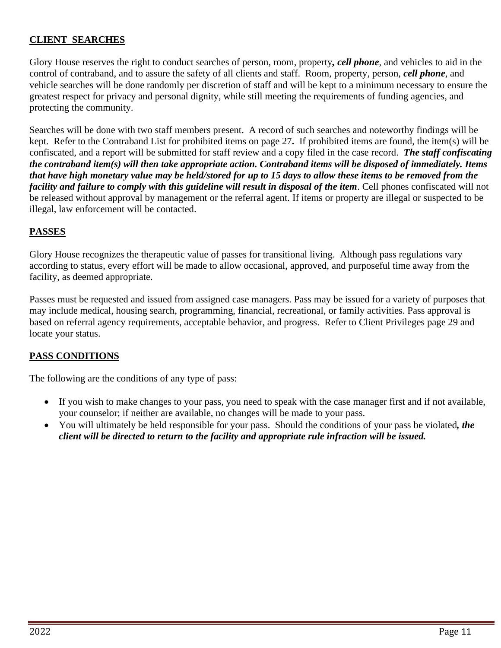### **CLIENT SEARCHES**

Glory House reserves the right to conduct searches of person, room, property*, cell phone*, and vehicles to aid in the control of contraband, and to assure the safety of all clients and staff. Room, property, person, *cell phone*, and vehicle searches will be done randomly per discretion of staff and will be kept to a minimum necessary to ensure the greatest respect for privacy and personal dignity, while still meeting the requirements of funding agencies, and protecting the community.

Searches will be done with two staff members present. A record of such searches and noteworthy findings will be kept. Refer to the Contraband List for prohibited items on page 27**.** If prohibited items are found, the item(s) will be confiscated, and a report will be submitted for staff review and a copy filed in the case record. *The staff confiscating the contraband item(s) will then take appropriate action. Contraband items will be disposed of immediately. Items that have high monetary value may be held/stored for up to 15 days to allow these items to be removed from the facility and failure to comply with this guideline will result in disposal of the item*. Cell phones confiscated will not be released without approval by management or the referral agent. If items or property are illegal or suspected to be illegal, law enforcement will be contacted.

### **PASSES**

Glory House recognizes the therapeutic value of passes for transitional living. Although pass regulations vary according to status, every effort will be made to allow occasional, approved, and purposeful time away from the facility, as deemed appropriate.

Passes must be requested and issued from assigned case managers. Pass may be issued for a variety of purposes that may include medical, housing search, programming, financial, recreational, or family activities. Pass approval is based on referral agency requirements, acceptable behavior, and progress. Refer to Client Privileges page 29 and locate your status.

### **PASS CONDITIONS**

The following are the conditions of any type of pass:

- If you wish to make changes to your pass, you need to speak with the case manager first and if not available, your counselor; if neither are available, no changes will be made to your pass.
- You will ultimately be held responsible for your pass. Should the conditions of your pass be violated*, the client will be directed to return to the facility and appropriate rule infraction will be issued.*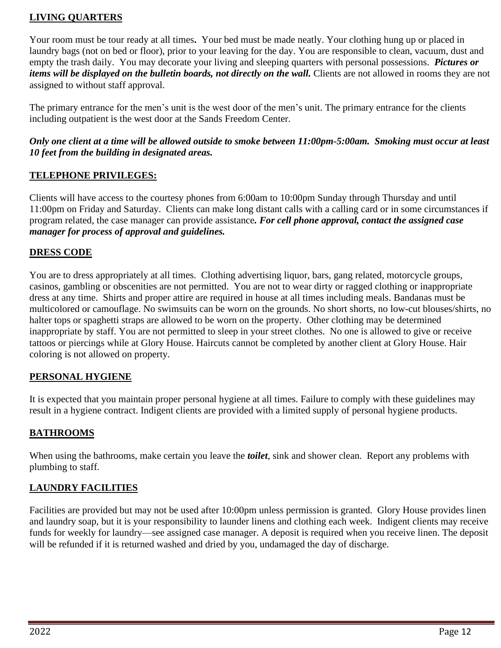### **LIVING QUARTERS**

Your room must be tour ready at all times**.** Your bed must be made neatly. Your clothing hung up or placed in laundry bags (not on bed or floor), prior to your leaving for the day. You are responsible to clean, vacuum, dust and empty the trash daily. You may decorate your living and sleeping quarters with personal possessions. *Pictures or items will be displayed on the bulletin boards, not directly on the wall.* Clients are not allowed in rooms they are not assigned to without staff approval.

The primary entrance for the men's unit is the west door of the men's unit. The primary entrance for the clients including outpatient is the west door at the Sands Freedom Center.

### *Only one client at a time will be allowed outside to smoke between 11:00pm-5:00am. Smoking must occur at least 10 feet from the building in designated areas.*

### **TELEPHONE PRIVILEGES:**

Clients will have access to the courtesy phones from 6:00am to 10:00pm Sunday through Thursday and until 11:00pm on Friday and Saturday. Clients can make long distant calls with a calling card or in some circumstances if program related, the case manager can provide assistance*. For cell phone approval, contact the assigned case manager for process of approval and guidelines.*

### **DRESS CODE**

You are to dress appropriately at all times. Clothing advertising liquor, bars, gang related, motorcycle groups, casinos, gambling or obscenities are not permitted. You are not to wear dirty or ragged clothing or inappropriate dress at any time. Shirts and proper attire are required in house at all times including meals. Bandanas must be multicolored or camouflage. No swimsuits can be worn on the grounds. No short shorts, no low-cut blouses/shirts, no halter tops or spaghetti straps are allowed to be worn on the property. Other clothing may be determined inappropriate by staff. You are not permitted to sleep in your street clothes. No one is allowed to give or receive tattoos or piercings while at Glory House. Haircuts cannot be completed by another client at Glory House. Hair coloring is not allowed on property.

### **PERSONAL HYGIENE**

It is expected that you maintain proper personal hygiene at all times. Failure to comply with these guidelines may result in a hygiene contract. Indigent clients are provided with a limited supply of personal hygiene products.

### **BATHROOMS**

When using the bathrooms, make certain you leave the *toilet*, sink and shower clean. Report any problems with plumbing to staff.

### **LAUNDRY FACILITIES**

Facilities are provided but may not be used after 10:00pm unless permission is granted. Glory House provides linen and laundry soap, but it is your responsibility to launder linens and clothing each week. Indigent clients may receive funds for weekly for laundry—see assigned case manager. A deposit is required when you receive linen. The deposit will be refunded if it is returned washed and dried by you, undamaged the day of discharge.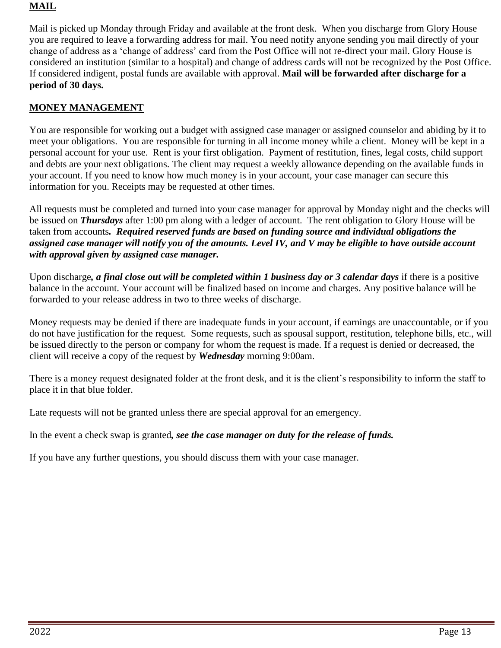### **MAIL**

Mail is picked up Monday through Friday and available at the front desk. When you discharge from Glory House you are required to leave a forwarding address for mail. You need notify anyone sending you mail directly of your change of address as a 'change of address' card from the Post Office will not re-direct your mail. Glory House is considered an institution (similar to a hospital) and change of address cards will not be recognized by the Post Office. If considered indigent, postal funds are available with approval. **Mail will be forwarded after discharge for a period of 30 days.** 

## **MONEY MANAGEMENT**

You are responsible for working out a budget with assigned case manager or assigned counselor and abiding by it to meet your obligations. You are responsible for turning in all income money while a client. Money will be kept in a personal account for your use. Rent is your first obligation. Payment of restitution, fines, legal costs, child support and debts are your next obligations. The client may request a weekly allowance depending on the available funds in your account. If you need to know how much money is in your account, your case manager can secure this information for you. Receipts may be requested at other times.

All requests must be completed and turned into your case manager for approval by Monday night and the checks will be issued on *Thursdays* after 1:00 pm along with a ledger of account. The rent obligation to Glory House will be taken from accounts*. Required reserved funds are based on funding source and individual obligations the assigned case manager will notify you of the amounts. Level IV, and V may be eligible to have outside account with approval given by assigned case manager.*

Upon discharge*, a final close out will be completed within 1 business day or 3 calendar days* if there is a positive balance in the account. Your account will be finalized based on income and charges. Any positive balance will be forwarded to your release address in two to three weeks of discharge.

Money requests may be denied if there are inadequate funds in your account, if earnings are unaccountable, or if you do not have justification for the request. Some requests, such as spousal support, restitution, telephone bills, etc., will be issued directly to the person or company for whom the request is made. If a request is denied or decreased, the client will receive a copy of the request by *Wednesday* morning 9:00am.

There is a money request designated folder at the front desk, and it is the client's responsibility to inform the staff to place it in that blue folder.

Late requests will not be granted unless there are special approval for an emergency.

In the event a check swap is granted*, see the case manager on duty for the release of funds.*

If you have any further questions, you should discuss them with your case manager.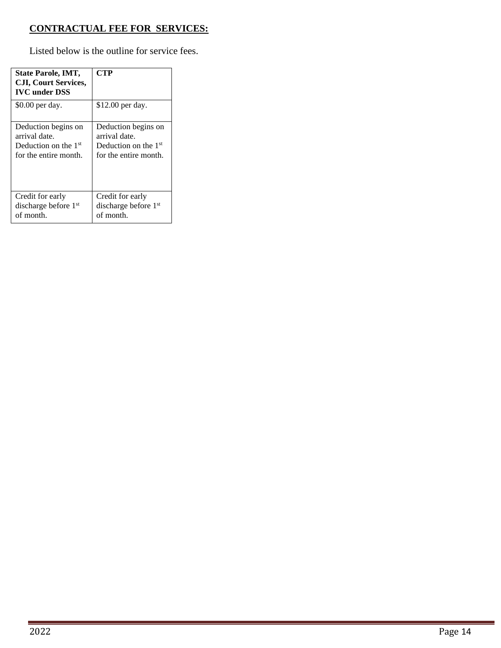## **CONTRACTUAL FEE FOR SERVICES:**

Listed below is the outline for service fees.

| State Parole, IMT,<br><b>CJI, Court Services,</b><br><b>IVC</b> under DSS | CTP                    |
|---------------------------------------------------------------------------|------------------------|
| \$0.00 per day.                                                           | \$12.00 per day.       |
| Deduction begins on                                                       | Deduction begins on    |
| arrival date.                                                             | arrival date.          |
| Deduction on the $1st$                                                    | Deduction on the $1st$ |
| for the entire month.                                                     | for the entire month.  |
| Credit for early                                                          | Credit for early       |
| discharge before $1st$                                                    | discharge before $1st$ |
| of month.                                                                 | of month.              |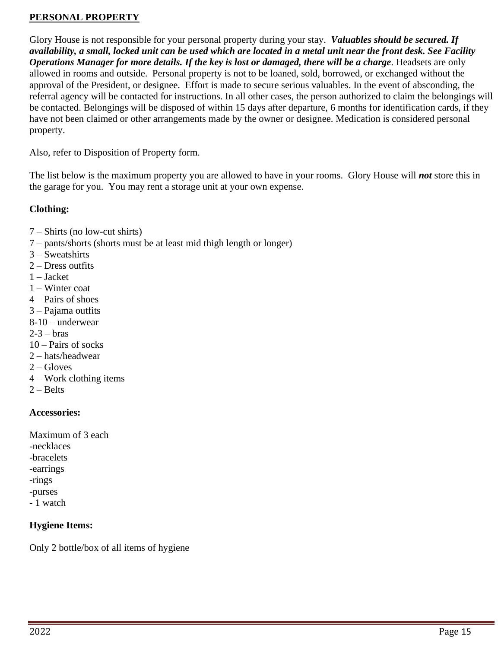### **PERSONAL PROPERTY**

Glory House is not responsible for your personal property during your stay. *Valuables should be secured. If availability, a small, locked unit can be used which are located in a metal unit near the front desk. See Facility Operations Manager for more details. If the key is lost or damaged, there will be a charge*. Headsets are only allowed in rooms and outside. Personal property is not to be loaned, sold, borrowed, or exchanged without the approval of the President, or designee. Effort is made to secure serious valuables. In the event of absconding, the referral agency will be contacted for instructions. In all other cases, the person authorized to claim the belongings will be contacted. Belongings will be disposed of within 15 days after departure, 6 months for identification cards, if they have not been claimed or other arrangements made by the owner or designee. Medication is considered personal property.

Also, refer to Disposition of Property form.

The list below is the maximum property you are allowed to have in your rooms. Glory House will *not* store this in the garage for you. You may rent a storage unit at your own expense.

### **Clothing:**

- 7 Shirts (no low-cut shirts)
- 7 pants/shorts (shorts must be at least mid thigh length or longer)
- 3 Sweatshirts
- 2 Dress outfits
- 1 Jacket
- 1 Winter coat
- 4 Pairs of shoes
- 3 Pajama outfits
- 8-10 underwear
- $2-3 \text{bras}$
- 10 Pairs of socks
- 2 hats/headwear
- $2 -$ Gloves
- 4 Work clothing items
- $2 Belts$

### **Accessories:**

Maximum of 3 each -necklaces -bracelets -earrings -rings -purses - 1 watch

### **Hygiene Items:**

Only 2 bottle/box of all items of hygiene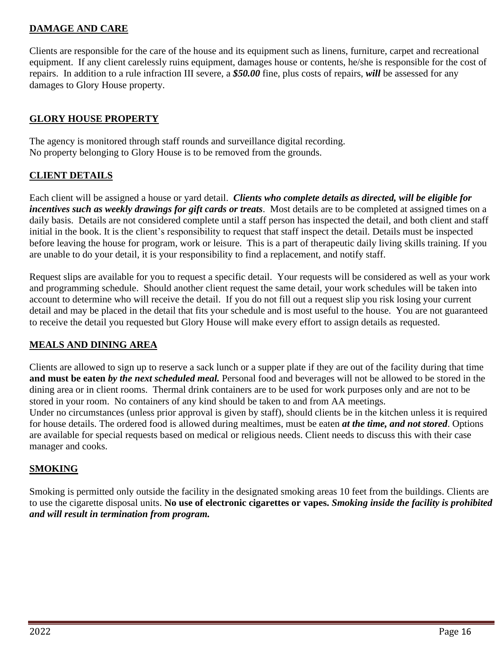### **DAMAGE AND CARE**

Clients are responsible for the care of the house and its equipment such as linens, furniture, carpet and recreational equipment. If any client carelessly ruins equipment, damages house or contents, he/she is responsible for the cost of repairs. In addition to a rule infraction III severe, a *\$50.00* fine, plus costs of repairs, *will* be assessed for any damages to Glory House property.

#### **GLORY HOUSE PROPERTY**

The agency is monitored through staff rounds and surveillance digital recording. No property belonging to Glory House is to be removed from the grounds.

#### **CLIENT DETAILS**

Each client will be assigned a house or yard detail. *Clients who complete details as directed, will be eligible for incentives such as weekly drawings for gift cards or treats*. Most details are to be completed at assigned times on a daily basis. Details are not considered complete until a staff person has inspected the detail, and both client and staff initial in the book. It is the client's responsibility to request that staff inspect the detail. Details must be inspected before leaving the house for program, work or leisure. This is a part of therapeutic daily living skills training. If you are unable to do your detail, it is your responsibility to find a replacement, and notify staff.

Request slips are available for you to request a specific detail. Your requests will be considered as well as your work and programming schedule. Should another client request the same detail, your work schedules will be taken into account to determine who will receive the detail. If you do not fill out a request slip you risk losing your current detail and may be placed in the detail that fits your schedule and is most useful to the house. You are not guaranteed to receive the detail you requested but Glory House will make every effort to assign details as requested.

### **MEALS AND DINING AREA**

Clients are allowed to sign up to reserve a sack lunch or a supper plate if they are out of the facility during that time **and must be eaten** *by the next scheduled meal.* Personal food and beverages will not be allowed to be stored in the dining area or in client rooms. Thermal drink containers are to be used for work purposes only and are not to be stored in your room. No containers of any kind should be taken to and from AA meetings.

Under no circumstances (unless prior approval is given by staff), should clients be in the kitchen unless it is required for house details. The ordered food is allowed during mealtimes, must be eaten *at the time, and not stored*. Options are available for special requests based on medical or religious needs. Client needs to discuss this with their case manager and cooks.

#### **SMOKING**

Smoking is permitted only outside the facility in the designated smoking areas 10 feet from the buildings. Clients are to use the cigarette disposal units. **No use of electronic cigarettes or vapes.** *Smoking inside the facility is prohibited and will result in termination from program.*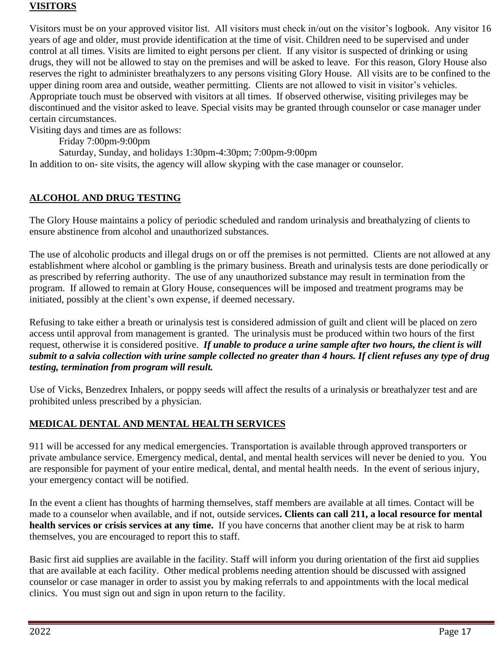### **VISITORS**

Visitors must be on your approved visitor list. All visitors must check in/out on the visitor's logbook. Any visitor 16 years of age and older, must provide identification at the time of visit. Children need to be supervised and under control at all times. Visits are limited to eight persons per client. If any visitor is suspected of drinking or using drugs, they will not be allowed to stay on the premises and will be asked to leave. For this reason, Glory House also reserves the right to administer breathalyzers to any persons visiting Glory House.All visits are to be confined to the upper dining room area and outside, weather permitting. Clients are not allowed to visit in visitor's vehicles. Appropriate touch must be observed with visitors at all times. If observed otherwise, visiting privileges may be discontinued and the visitor asked to leave. Special visits may be granted through counselor or case manager under certain circumstances.

Visiting days and times are as follows:

Friday 7:00pm-9:00pm

Saturday, Sunday, and holidays 1:30pm-4:30pm; 7:00pm-9:00pm

In addition to on- site visits, the agency will allow skyping with the case manager or counselor.

## **ALCOHOL AND DRUG TESTING**

The Glory House maintains a policy of periodic scheduled and random urinalysis and breathalyzing of clients to ensure abstinence from alcohol and unauthorized substances.

The use of alcoholic products and illegal drugs on or off the premises is not permitted. Clients are not allowed at any establishment where alcohol or gambling is the primary business. Breath and urinalysis tests are done periodically or as prescribed by referring authority. The use of any unauthorized substance may result in termination from the program. If allowed to remain at Glory House, consequences will be imposed and treatment programs may be initiated, possibly at the client's own expense, if deemed necessary.

Refusing to take either a breath or urinalysis test is considered admission of guilt and client will be placed on zero access until approval from management is granted. The urinalysis must be produced within two hours of the first request, otherwise it is considered positive. *If unable to produce a urine sample after two hours, the client is will submit to a salvia collection with urine sample collected no greater than 4 hours. If client refuses any type of drug testing, termination from program will result.*

Use of Vicks, Benzedrex Inhalers, or poppy seeds will affect the results of a urinalysis or breathalyzer test and are prohibited unless prescribed by a physician.

### **MEDICAL DENTAL AND MENTAL HEALTH SERVICES**

911 will be accessed for any medical emergencies. Transportation is available through approved transporters or private ambulance service. Emergency medical, dental, and mental health services will never be denied to you. You are responsible for payment of your entire medical, dental, and mental health needs. In the event of serious injury, your emergency contact will be notified.

In the event a client has thoughts of harming themselves, staff members are available at all times. Contact will be made to a counselor when available, and if not, outside services**. Clients can call 211, a local resource for mental health services or crisis services at any time.** If you have concerns that another client may be at risk to harm themselves, you are encouraged to report this to staff.

Basic first aid supplies are available in the facility. Staff will inform you during orientation of the first aid supplies that are available at each facility. Other medical problems needing attention should be discussed with assigned counselor or case manager in order to assist you by making referrals to and appointments with the local medical clinics. You must sign out and sign in upon return to the facility.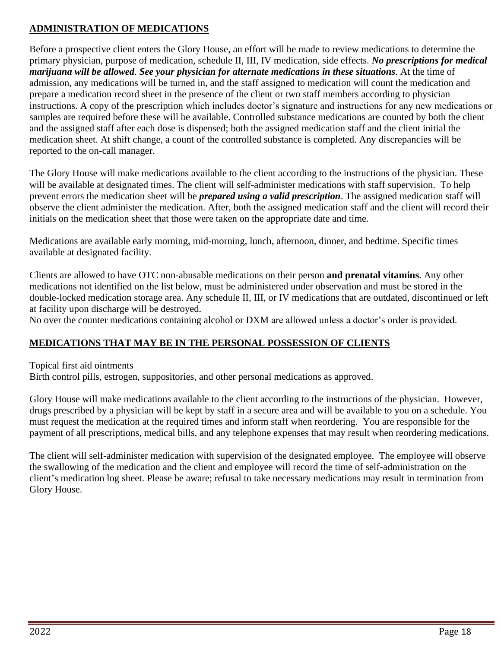### **ADMINISTRATION OF MEDICATIONS**

Before a prospective client enters the Glory House, an effort will be made to review medications to determine the primary physician, purpose of medication, schedule II, III, IV medication, side effects. *No prescriptions for medical marijuana will be allowed*. *See your physician for alternate medications in these situations*. At the time of admission, any medications will be turned in, and the staff assigned to medication will count the medication and prepare a medication record sheet in the presence of the client or two staff members according to physician instructions. A copy of the prescription which includes doctor's signature and instructions for any new medications or samples are required before these will be available. Controlled substance medications are counted by both the client and the assigned staff after each dose is dispensed; both the assigned medication staff and the client initial the medication sheet. At shift change, a count of the controlled substance is completed. Any discrepancies will be reported to the on-call manager.

The Glory House will make medications available to the client according to the instructions of the physician. These will be available at designated times. The client will self-administer medications with staff supervision. To help prevent errors the medication sheet will be *prepared using a valid prescription*. The assigned medication staff will observe the client administer the medication. After, both the assigned medication staff and the client will record their initials on the medication sheet that those were taken on the appropriate date and time.

Medications are available early morning, mid-morning, lunch, afternoon, dinner, and bedtime. Specific times available at designated facility.

Clients are allowed to have OTC non-abusable medications on their person **and prenatal vitamins**. Any other medications not identified on the list below, must be administered under observation and must be stored in the double-locked medication storage area. Any schedule II, III, or IV medications that are outdated, discontinued or left at facility upon discharge will be destroyed.

No over the counter medications containing alcohol or DXM are allowed unless a doctor's order is provided.

### **MEDICATIONS THAT MAY BE IN THE PERSONAL POSSESSION OF CLIENTS**

Topical first aid ointments

Birth control pills, estrogen, suppositories, and other personal medications as approved.

Glory House will make medications available to the client according to the instructions of the physician. However, drugs prescribed by a physician will be kept by staff in a secure area and will be available to you on a schedule. You must request the medication at the required times and inform staff when reordering. You are responsible for the payment of all prescriptions, medical bills, and any telephone expenses that may result when reordering medications.

The client will self-administer medication with supervision of the designated employee. The employee will observe the swallowing of the medication and the client and employee will record the time of self-administration on the client's medication log sheet. Please be aware; refusal to take necessary medications may result in termination from Glory House.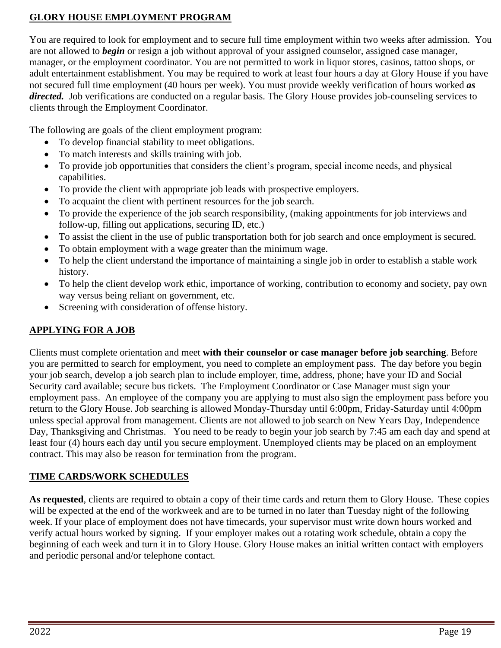## **GLORY HOUSE EMPLOYMENT PROGRAM**

You are required to look for employment and to secure full time employment within two weeks after admission. You are not allowed to *begin* or resign a job without approval of your assigned counselor, assigned case manager, manager, or the employment coordinator. You are not permitted to work in liquor stores, casinos, tattoo shops, or adult entertainment establishment. You may be required to work at least four hours a day at Glory House if you have not secured full time employment (40 hours per week). You must provide weekly verification of hours worked *as directed.* Job verifications are conducted on a regular basis. The Glory House provides job-counseling services to clients through the Employment Coordinator.

The following are goals of the client employment program:

- To develop financial stability to meet obligations.
- To match interests and skills training with job.
- To provide job opportunities that considers the client's program, special income needs, and physical capabilities.
- To provide the client with appropriate job leads with prospective employers.
- To acquaint the client with pertinent resources for the job search.
- To provide the experience of the job search responsibility, (making appointments for job interviews and follow-up, filling out applications, securing ID, etc.)
- To assist the client in the use of public transportation both for job search and once employment is secured.
- To obtain employment with a wage greater than the minimum wage.
- To help the client understand the importance of maintaining a single job in order to establish a stable work history.
- To help the client develop work ethic, importance of working, contribution to economy and society, pay own way versus being reliant on government, etc.
- Screening with consideration of offense history.

# **APPLYING FOR A JOB**

Clients must complete orientation and meet **with their counselor or case manager before job searching**. Before you are permitted to search for employment, you need to complete an employment pass. The day before you begin your job search, develop a job search plan to include employer, time, address, phone; have your ID and Social Security card available; secure bus tickets. The Employment Coordinator or Case Manager must sign your employment pass. An employee of the company you are applying to must also sign the employment pass before you return to the Glory House. Job searching is allowed Monday-Thursday until 6:00pm, Friday-Saturday until 4:00pm unless special approval from management. Clients are not allowed to job search on New Years Day, Independence Day, Thanksgiving and Christmas. You need to be ready to begin your job search by 7:45 am each day and spend at least four (4) hours each day until you secure employment. Unemployed clients may be placed on an employment contract. This may also be reason for termination from the program.

# **TIME CARDS/WORK SCHEDULES**

**As requested**, clients are required to obtain a copy of their time cards and return them to Glory House. These copies will be expected at the end of the workweek and are to be turned in no later than Tuesday night of the following week. If your place of employment does not have timecards, your supervisor must write down hours worked and verify actual hours worked by signing. If your employer makes out a rotating work schedule, obtain a copy the beginning of each week and turn it in to Glory House. Glory House makes an initial written contact with employers and periodic personal and/or telephone contact.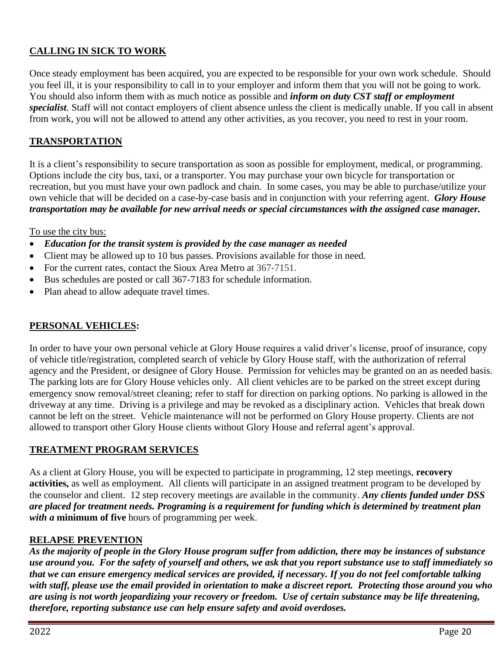## **CALLING IN SICK TO WORK**

Once steady employment has been acquired, you are expected to be responsible for your own work schedule. Should you feel ill, it is your responsibility to call in to your employer and inform them that you will not be going to work. You should also inform them with as much notice as possible and *inform on duty CST staff or employment specialist*. Staff will not contact employers of client absence unless the client is medically unable. If you call in absent from work, you will not be allowed to attend any other activities, as you recover, you need to rest in your room.

### **TRANSPORTATION**

It is a client's responsibility to secure transportation as soon as possible for employment, medical, or programming. Options include the city bus, taxi, or a transporter. You may purchase your own bicycle for transportation or recreation, but you must have your own padlock and chain. In some cases, you may be able to purchase/utilize your own vehicle that will be decided on a case-by-case basis and in conjunction with your referring agent. *Glory House transportation may be available for new arrival needs or special circumstances with the assigned case manager.*

To use the city bus:

- *Education for the transit system is provided by the case manager as needed*
- Client may be allowed up to 10 bus passes. Provisions available for those in need.
- For the current rates, contact the Sioux Area Metro at 367-7151.
- Bus schedules are posted or call 367-7183 for schedule information.
- Plan ahead to allow adequate travel times.

### **PERSONAL VEHICLES:**

In order to have your own personal vehicle at Glory House requires a valid driver's license, proof of insurance, copy of vehicle title/registration, completed search of vehicle by Glory House staff, with the authorization of referral agency and the President, or designee of Glory House. Permission for vehicles may be granted on an as needed basis. The parking lots are for Glory House vehicles only. All client vehicles are to be parked on the street except during emergency snow removal/street cleaning; refer to staff for direction on parking options. No parking is allowed in the driveway at any time. Driving is a privilege and may be revoked as a disciplinary action. Vehicles that break down cannot be left on the street. Vehicle maintenance will not be performed on Glory House property. Clients are not allowed to transport other Glory House clients without Glory House and referral agent's approval.

#### **TREATMENT PROGRAM SERVICES**

As a client at Glory House, you will be expected to participate in programming, 12 step meetings, **recovery activities,** as well as employment. All clients will participate in an assigned treatment program to be developed by the counselor and client. 12 step recovery meetings are available in the community. *Any clients funded under DSS are placed for treatment needs. Programing is a requirement for funding which is determined by treatment plan with a* **minimum of five** hours of programming per week.

### **RELAPSE PREVENTION**

*As the majority of people in the Glory House program suffer from addiction, there may be instances of substance use around you. For the safety of yourself and others, we ask that you report substance use to staff immediately so that we can ensure emergency medical services are provided, if necessary. If you do not feel comfortable talking with staff, please use the email provided in orientation to make a discreet report. Protecting those around you who are using is not worth jeopardizing your recovery or freedom. Use of certain substance may be life threatening, therefore, reporting substance use can help ensure safety and avoid overdoses.*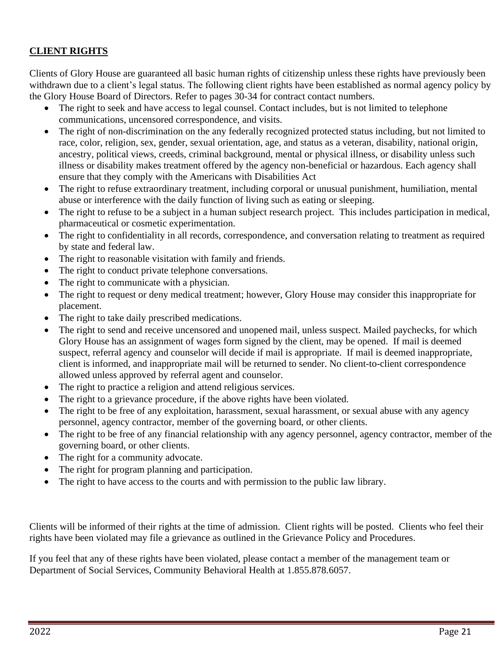### **CLIENT RIGHTS**

Clients of Glory House are guaranteed all basic human rights of citizenship unless these rights have previously been withdrawn due to a client's legal status. The following client rights have been established as normal agency policy by the Glory House Board of Directors. Refer to pages 30-34 for contract contact numbers.

- The right to seek and have access to legal counsel. Contact includes, but is not limited to telephone communications, uncensored correspondence, and visits.
- The right of non-discrimination on the any federally recognized protected status including, but not limited to race, color, religion, sex, gender, sexual orientation, age, and status as a veteran, disability, national origin, ancestry, political views, creeds, criminal background, mental or physical illness, or disability unless such illness or disability makes treatment offered by the agency non-beneficial or hazardous. Each agency shall ensure that they comply with the Americans with Disabilities Act
- The right to refuse extraordinary treatment, including corporal or unusual punishment, humiliation, mental abuse or interference with the daily function of living such as eating or sleeping.
- The right to refuse to be a subject in a human subject research project. This includes participation in medical, pharmaceutical or cosmetic experimentation.
- The right to confidentiality in all records, correspondence, and conversation relating to treatment as required by state and federal law.
- The right to reasonable visitation with family and friends.
- The right to conduct private telephone conversations.
- The right to communicate with a physician.
- The right to request or deny medical treatment; however, Glory House may consider this inappropriate for placement.
- The right to take daily prescribed medications.
- The right to send and receive uncensored and unopened mail, unless suspect. Mailed paychecks, for which Glory House has an assignment of wages form signed by the client, may be opened. If mail is deemed suspect, referral agency and counselor will decide if mail is appropriate. If mail is deemed inappropriate, client is informed, and inappropriate mail will be returned to sender. No client-to-client correspondence allowed unless approved by referral agent and counselor.
- The right to practice a religion and attend religious services.
- The right to a grievance procedure, if the above rights have been violated.
- The right to be free of any exploitation, harassment, sexual harassment, or sexual abuse with any agency personnel, agency contractor, member of the governing board, or other clients.
- The right to be free of any financial relationship with any agency personnel, agency contractor, member of the governing board, or other clients.
- The right for a community advocate.
- The right for program planning and participation.
- The right to have access to the courts and with permission to the public law library.

Clients will be informed of their rights at the time of admission. Client rights will be posted. Clients who feel their rights have been violated may file a grievance as outlined in the Grievance Policy and Procedures.

If you feel that any of these rights have been violated, please contact a member of the management team or Department of Social Services, Community Behavioral Health at 1.855.878.6057.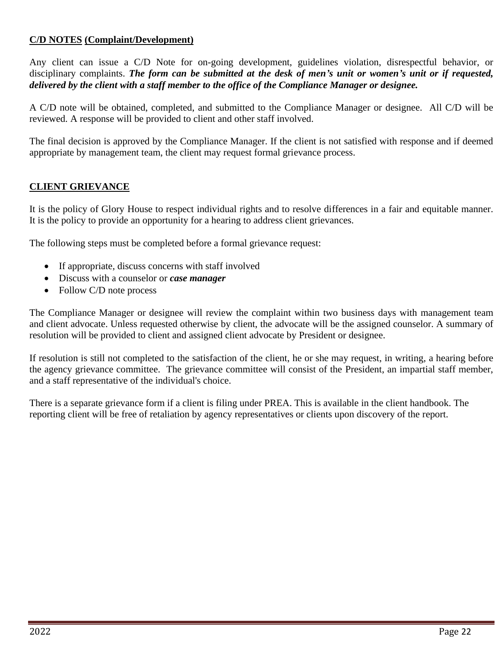### **C/D NOTES (Complaint/Development)**

Any client can issue a C/D Note for on-going development, guidelines violation, disrespectful behavior, or disciplinary complaints. *The form can be submitted at the desk of men's unit or women's unit or if requested, delivered by the client with a staff member to the office of the Compliance Manager or designee.*

A C/D note will be obtained, completed, and submitted to the Compliance Manager or designee. All C/D will be reviewed. A response will be provided to client and other staff involved.

The final decision is approved by the Compliance Manager. If the client is not satisfied with response and if deemed appropriate by management team, the client may request formal grievance process.

### **CLIENT GRIEVANCE**

It is the policy of Glory House to respect individual rights and to resolve differences in a fair and equitable manner. It is the policy to provide an opportunity for a hearing to address client grievances.

The following steps must be completed before a formal grievance request:

- If appropriate, discuss concerns with staff involved
- Discuss with a counselor or *case manager*
- Follow C/D note process

The Compliance Manager or designee will review the complaint within two business days with management team and client advocate. Unless requested otherwise by client, the advocate will be the assigned counselor. A summary of resolution will be provided to client and assigned client advocate by President or designee.

If resolution is still not completed to the satisfaction of the client, he or she may request, in writing, a hearing before the agency grievance committee. The grievance committee will consist of the President, an impartial staff member, and a staff representative of the individual's choice.

There is a separate grievance form if a client is filing under PREA. This is available in the client handbook. The reporting client will be free of retaliation by agency representatives or clients upon discovery of the report.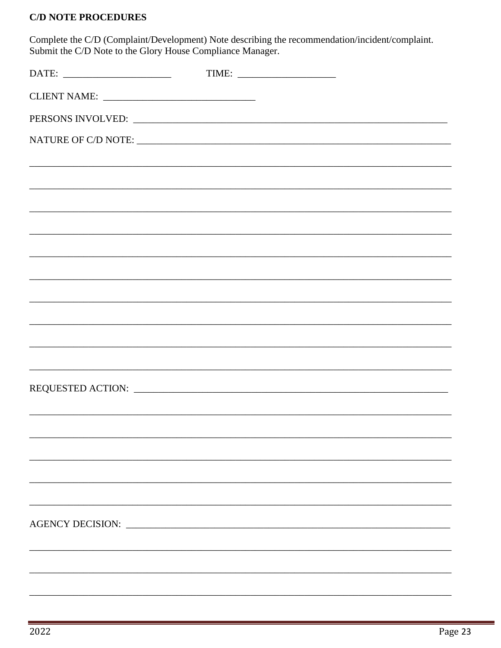### **C/D NOTE PROCEDURES**

Complete the C/D (Complaint/Development) Note describing the recommendation/incident/complaint.<br>Submit the C/D Note to the Glory House Compliance Manager.

| ,我们也不会有什么。""我们的人,我们也不会有什么?""我们的人,我们也不会有什么?""我们的人,我们也不会有什么?""我们的人,我们也不会有什么?""我们的人 |  |
|----------------------------------------------------------------------------------|--|
|                                                                                  |  |
|                                                                                  |  |
|                                                                                  |  |
|                                                                                  |  |
|                                                                                  |  |
|                                                                                  |  |
|                                                                                  |  |
|                                                                                  |  |
|                                                                                  |  |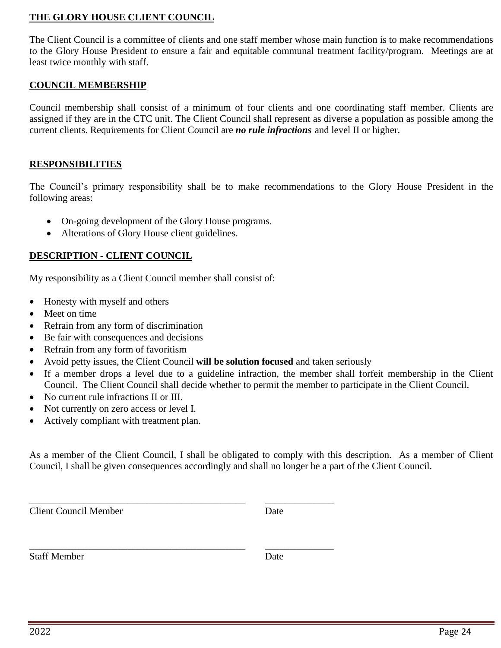### **THE GLORY HOUSE CLIENT COUNCIL**

The Client Council is a committee of clients and one staff member whose main function is to make recommendations to the Glory House President to ensure a fair and equitable communal treatment facility/program. Meetings are at least twice monthly with staff.

### **COUNCIL MEMBERSHIP**

Council membership shall consist of a minimum of four clients and one coordinating staff member. Clients are assigned if they are in the CTC unit. The Client Council shall represent as diverse a population as possible among the current clients. Requirements for Client Council are *no rule infractions* and level II or higher.

### **RESPONSIBILITIES**

The Council's primary responsibility shall be to make recommendations to the Glory House President in the following areas:

- On-going development of the Glory House programs.
- Alterations of Glory House client guidelines.

### **DESCRIPTION - CLIENT COUNCIL**

My responsibility as a Client Council member shall consist of:

- Honesty with myself and others
- Meet on time
- Refrain from any form of discrimination
- Be fair with consequences and decisions
- Refrain from any form of favoritism
- Avoid petty issues, the Client Council **will be solution focused** and taken seriously

\_\_\_\_\_\_\_\_\_\_\_\_\_\_\_\_\_\_\_\_\_\_\_\_\_\_\_\_\_\_\_\_\_\_\_\_\_\_\_\_\_\_\_\_ \_\_\_\_\_\_\_\_\_\_\_\_\_\_

\_\_\_\_\_\_\_\_\_\_\_\_\_\_\_\_\_\_\_\_\_\_\_\_\_\_\_\_\_\_\_\_\_\_\_\_\_\_\_\_\_\_\_\_ \_\_\_\_\_\_\_\_\_\_\_\_\_\_

- If a member drops a level due to a guideline infraction, the member shall forfeit membership in the Client Council. The Client Council shall decide whether to permit the member to participate in the Client Council.
- No current rule infractions II or III.
- Not currently on zero access or level I.
- Actively compliant with treatment plan.

As a member of the Client Council, I shall be obligated to comply with this description. As a member of Client Council, I shall be given consequences accordingly and shall no longer be a part of the Client Council.

**Client Council Member Date** 

Staff Member Date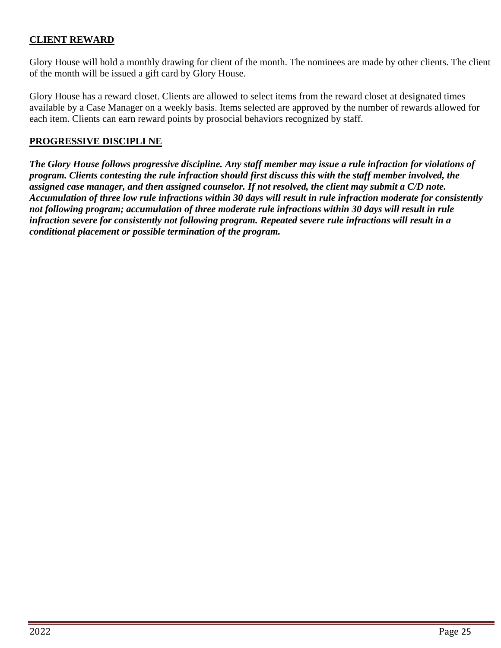### **CLIENT REWARD**

Glory House will hold a monthly drawing for client of the month. The nominees are made by other clients. The client of the month will be issued a gift card by Glory House.

Glory House has a reward closet. Clients are allowed to select items from the reward closet at designated times available by a Case Manager on a weekly basis. Items selected are approved by the number of rewards allowed for each item. Clients can earn reward points by prosocial behaviors recognized by staff.

#### **PROGRESSIVE DISCIPLI NE**

*The Glory House follows progressive discipline. Any staff member may issue a rule infraction for violations of program. Clients contesting the rule infraction should first discuss this with the staff member involved, the assigned case manager, and then assigned counselor. If not resolved, the client may submit a C/D note. Accumulation of three low rule infractions within 30 days will result in rule infraction moderate for consistently not following program; accumulation of three moderate rule infractions within 30 days will result in rule infraction severe for consistently not following program. Repeated severe rule infractions will result in a conditional placement or possible termination of the program.*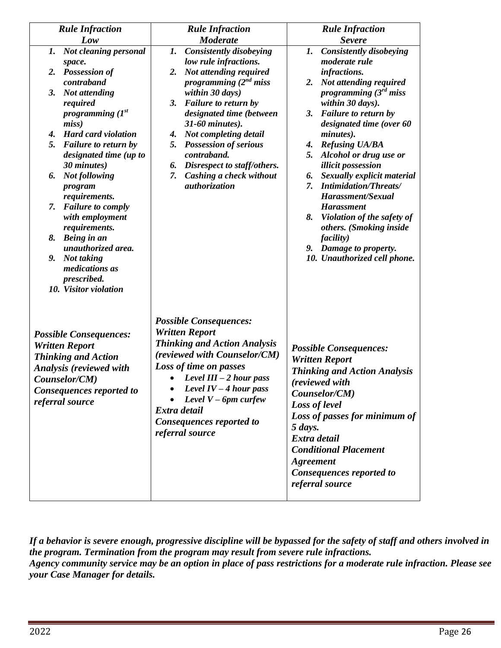| <b>Rule Infraction</b>                                                                                                                                                                 | <b>Rule Infraction</b>                                                                                                                                                                                                                                                                                  | <b>Rule Infraction</b>                                                                                                                                                                                                                                                                                           |  |
|----------------------------------------------------------------------------------------------------------------------------------------------------------------------------------------|---------------------------------------------------------------------------------------------------------------------------------------------------------------------------------------------------------------------------------------------------------------------------------------------------------|------------------------------------------------------------------------------------------------------------------------------------------------------------------------------------------------------------------------------------------------------------------------------------------------------------------|--|
| Low                                                                                                                                                                                    | <b>Moderate</b>                                                                                                                                                                                                                                                                                         | <b>Severe</b>                                                                                                                                                                                                                                                                                                    |  |
| <b>Not cleaning personal</b><br>1.<br>space.                                                                                                                                           | <b>Consistently disobeying</b><br>1.<br>low rule infractions.                                                                                                                                                                                                                                           | <b>Consistently disobeying</b><br>1.<br>moderate rule                                                                                                                                                                                                                                                            |  |
| 2. Possession of<br>contraband                                                                                                                                                         | Not attending required<br>2.<br>programming $(2^{nd}$ miss                                                                                                                                                                                                                                              | infractions.<br>2. Not attending required                                                                                                                                                                                                                                                                        |  |
| Not attending<br>3.<br>required<br>programming $(I^{st})$<br>miss)                                                                                                                     | within 30 days)<br>3.<br><b>Failure to return by</b><br>designated time (between<br>31-60 minutes).                                                                                                                                                                                                     | programming $(3rd$ miss<br>within 30 days).<br>3. Failure to return by<br>designated time (over 60                                                                                                                                                                                                               |  |
| <b>Hard card violation</b><br>$\boldsymbol{4}$ .<br>5.<br><b>Failure to return by</b><br>designated time (up to<br>30 minutes)                                                         | 4. Not completing detail<br><b>Possession of serious</b><br>5.<br>contraband.                                                                                                                                                                                                                           | minutes).<br><b>Refusing UA/BA</b><br>4.<br>Alcohol or drug use or<br>5.                                                                                                                                                                                                                                         |  |
| <b>Not following</b><br>6.<br>program<br>requirements.                                                                                                                                 | Disrespect to staff/others.<br>6.<br>Cashing a check without<br>7.<br>authorization                                                                                                                                                                                                                     | <i>illicit possession</i><br>Sexually explicit material<br>6.<br><b>Intimidation/Threats/</b><br>7.<br>Harassment/Sexual                                                                                                                                                                                         |  |
| <b>Failure to comply</b><br>7.<br>with employment<br>requirements.                                                                                                                     |                                                                                                                                                                                                                                                                                                         | <b>Harassment</b><br>8. Violation of the safety of<br>others. (Smoking inside                                                                                                                                                                                                                                    |  |
| 8.<br>Being in an<br>unauthorized area.                                                                                                                                                |                                                                                                                                                                                                                                                                                                         | <i>facility</i> )<br>9. Damage to property.                                                                                                                                                                                                                                                                      |  |
| Not taking<br>9.<br>medications as<br>prescribed.<br>10. Visitor violation                                                                                                             |                                                                                                                                                                                                                                                                                                         | 10. Unauthorized cell phone.                                                                                                                                                                                                                                                                                     |  |
| <b>Possible Consequences:</b><br><b>Written Report</b><br><b>Thinking and Action</b><br><b>Analysis (reviewed with</b><br>Counselor/CM)<br>Consequences reported to<br>referral source | <b>Possible Consequences:</b><br><b>Written Report</b><br><b>Thinking and Action Analysis</b><br>(reviewed with Counselor/CM)<br>Loss of time on passes<br>Level $III - 2$ hour pass<br>Level $IV-4$ hour pass<br>Level $V$ – 6pm curfew<br>Extra detail<br>Consequences reported to<br>referral source | <b>Possible Consequences:</b><br><b>Written Report</b><br><b>Thinking and Action Analysis</b><br>(reviewed with<br>Counselor/CM)<br>Loss of level<br>Loss of passes for minimum of<br>5 days.<br>Extra detail<br><b>Conditional Placement</b><br><b>Agreement</b><br>Consequences reported to<br>referral source |  |

*If a behavior is severe enough, progressive discipline will be bypassed for the safety of staff and others involved in the program. Termination from the program may result from severe rule infractions. Agency community service may be an option in place of pass restrictions for a moderate rule infraction. Please see your Case Manager for details.*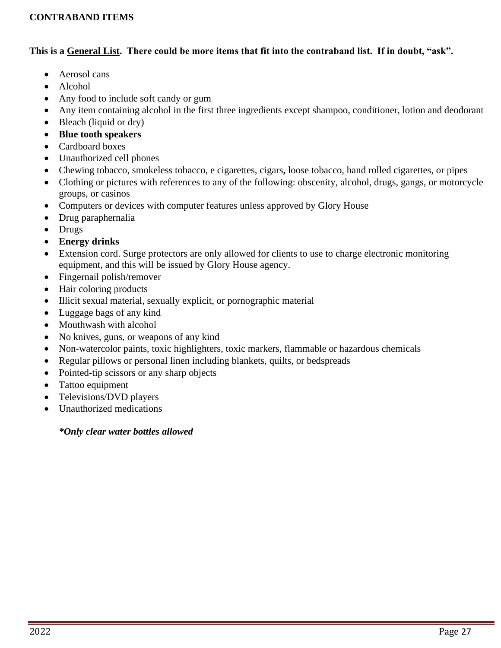### **CONTRABAND ITEMS**

### **This is a General List. There could be more items that fit into the contraband list. If in doubt, "ask".**

- Aerosol cans
- Alcohol
- Any food to include soft candy or gum
- Any item containing alcohol in the first three ingredients except shampoo, conditioner, lotion and deodorant
- Bleach (liquid or dry)
- **Blue tooth speakers**
- Cardboard boxes
- Unauthorized cell phones
- Chewing tobacco, smokeless tobacco, e cigarettes, cigars**,** loose tobacco, hand rolled cigarettes, or pipes
- Clothing or pictures with references to any of the following: obscenity, alcohol, drugs, gangs, or motorcycle groups, or casinos
- Computers or devices with computer features unless approved by Glory House
- Drug paraphernalia
- Drugs
- **Energy drinks**
- Extension cord. Surge protectors are only allowed for clients to use to charge electronic monitoring equipment, and this will be issued by Glory House agency.
- Fingernail polish/remover
- Hair coloring products
- Illicit sexual material, sexually explicit, or pornographic material
- Luggage bags of any kind
- Mouthwash with alcohol
- No knives, guns, or weapons of any kind
- Non-watercolor paints, toxic highlighters, toxic markers, flammable or hazardous chemicals
- Regular pillows or personal linen including blankets, quilts, or bedspreads
- Pointed-tip scissors or any sharp objects
- Tattoo equipment
- Televisions/DVD players
- Unauthorized medications

### *\*Only clear water bottles allowed*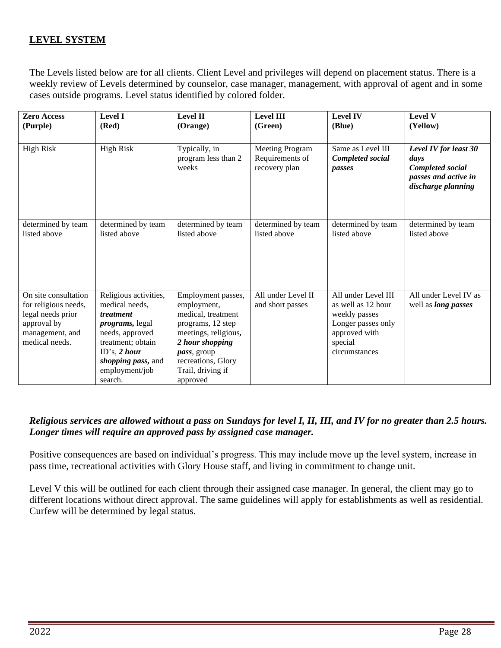## **LEVEL SYSTEM**

The Levels listed below are for all clients. Client Level and privileges will depend on placement status. There is a weekly review of Levels determined by counselor, case manager, management, with approval of agent and in some cases outside programs. Level status identified by colored folder.

| <b>Zero Access</b>                                                                                                    | <b>Level I</b>                                                                                                                                                                       | <b>Level II</b>                                                                                                                                                                               | <b>Level III</b>                                    | <b>Level IV</b>                                                                                                               | <b>Level V</b>                                                                                  |
|-----------------------------------------------------------------------------------------------------------------------|--------------------------------------------------------------------------------------------------------------------------------------------------------------------------------------|-----------------------------------------------------------------------------------------------------------------------------------------------------------------------------------------------|-----------------------------------------------------|-------------------------------------------------------------------------------------------------------------------------------|-------------------------------------------------------------------------------------------------|
| (Purple)                                                                                                              | (Red)                                                                                                                                                                                | (Orange)                                                                                                                                                                                      | (Green)                                             | (Blue)                                                                                                                        | (Yellow)                                                                                        |
| <b>High Risk</b>                                                                                                      | <b>High Risk</b>                                                                                                                                                                     | Typically, in<br>program less than 2<br>weeks                                                                                                                                                 | Meeting Program<br>Requirements of<br>recovery plan | Same as Level III<br>Completed social<br>passes                                                                               | Level IV for least 30<br>days<br>Completed social<br>passes and active in<br>discharge planning |
| determined by team                                                                                                    | determined by team                                                                                                                                                                   | determined by team                                                                                                                                                                            | determined by team                                  | determined by team                                                                                                            | determined by team                                                                              |
| listed above                                                                                                          | listed above                                                                                                                                                                         | listed above                                                                                                                                                                                  | listed above                                        | listed above                                                                                                                  | listed above                                                                                    |
| On site consultation<br>for religious needs,<br>legal needs prior<br>approval by<br>management, and<br>medical needs. | Religious activities,<br>medical needs,<br>treatment<br>programs, legal<br>needs, approved<br>treatment; obtain<br>ID's, $2$ hour<br>shopping pass, and<br>employment/job<br>search. | Employment passes,<br>employment,<br>medical, treatment<br>programs, 12 step<br>meetings, religious,<br>2 hour shopping<br>pass, group<br>recreations, Glory<br>Trail, driving if<br>approved | All under Level II<br>and short passes              | All under Level III<br>as well as 12 hour<br>weekly passes<br>Longer passes only<br>approved with<br>special<br>circumstances | All under Level IV as<br>well as <i>long passes</i>                                             |

### *Religious services are allowed without a pass on Sundays for level I, II, III, and IV for no greater than 2.5 hours. Longer times will require an approved pass by assigned case manager.*

Positive consequences are based on individual's progress. This may include move up the level system, increase in pass time, recreational activities with Glory House staff, and living in commitment to change unit.

Level V this will be outlined for each client through their assigned case manager. In general, the client may go to different locations without direct approval. The same guidelines will apply for establishments as well as residential. Curfew will be determined by legal status.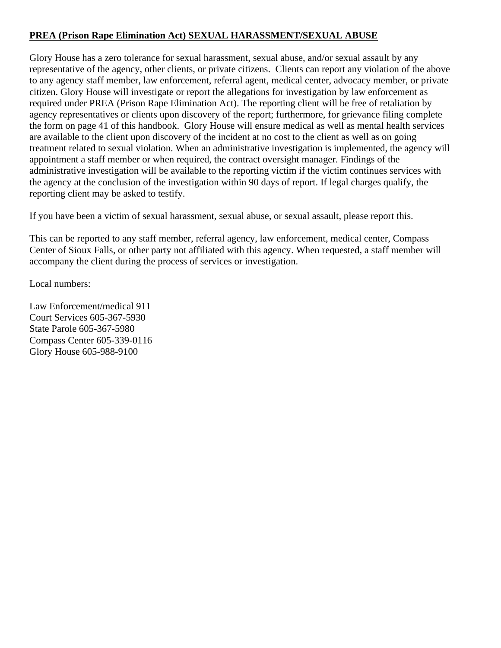### **PREA (Prison Rape Elimination Act) SEXUAL HARASSMENT/SEXUAL ABUSE**

Glory House has a zero tolerance for sexual harassment, sexual abuse, and/or sexual assault by any representative of the agency, other clients, or private citizens. Clients can report any violation of the above to any agency staff member, law enforcement, referral agent, medical center, advocacy member, or private citizen. Glory House will investigate or report the allegations for investigation by law enforcement as required under PREA (Prison Rape Elimination Act). The reporting client will be free of retaliation by agency representatives or clients upon discovery of the report; furthermore, for grievance filing complete the form on page 41 of this handbook. Glory House will ensure medical as well as mental health services are available to the client upon discovery of the incident at no cost to the client as well as on going treatment related to sexual violation. When an administrative investigation is implemented, the agency will appointment a staff member or when required, the contract oversight manager. Findings of the administrative investigation will be available to the reporting victim if the victim continues services with the agency at the conclusion of the investigation within 90 days of report. If legal charges qualify, the reporting client may be asked to testify.

If you have been a victim of sexual harassment, sexual abuse, or sexual assault, please report this.

This can be reported to any staff member, referral agency, law enforcement, medical center, Compass Center of Sioux Falls, or other party not affiliated with this agency. When requested, a staff member will accompany the client during the process of services or investigation.

Local numbers:

Law Enforcement/medical 911 Court Services 605-367-5930 State Parole 605-367-5980 Compass Center 605-339-0116 Glory House 605-988-9100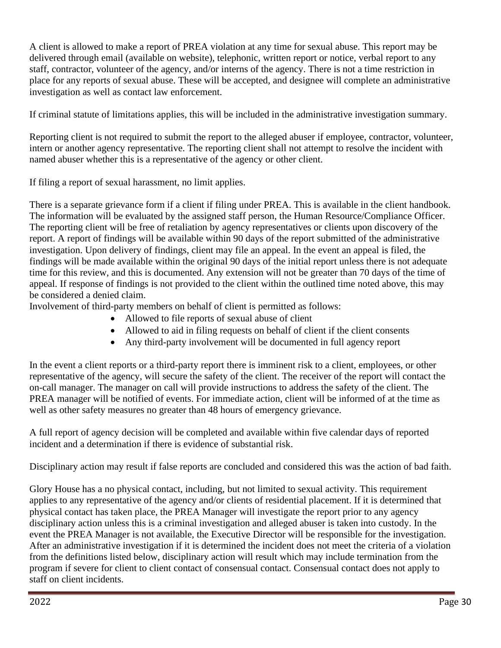A client is allowed to make a report of PREA violation at any time for sexual abuse. This report may be delivered through email (available on website), telephonic, written report or notice, verbal report to any staff, contractor, volunteer of the agency, and/or interns of the agency. There is not a time restriction in place for any reports of sexual abuse. These will be accepted, and designee will complete an administrative investigation as well as contact law enforcement.

If criminal statute of limitations applies, this will be included in the administrative investigation summary.

Reporting client is not required to submit the report to the alleged abuser if employee, contractor, volunteer, intern or another agency representative. The reporting client shall not attempt to resolve the incident with named abuser whether this is a representative of the agency or other client.

If filing a report of sexual harassment, no limit applies.

There is a separate grievance form if a client if filing under PREA. This is available in the client handbook. The information will be evaluated by the assigned staff person, the Human Resource/Compliance Officer. The reporting client will be free of retaliation by agency representatives or clients upon discovery of the report. A report of findings will be available within 90 days of the report submitted of the administrative investigation. Upon delivery of findings, client may file an appeal. In the event an appeal is filed, the findings will be made available within the original 90 days of the initial report unless there is not adequate time for this review, and this is documented. Any extension will not be greater than 70 days of the time of appeal. If response of findings is not provided to the client within the outlined time noted above, this may be considered a denied claim.

Involvement of third-party members on behalf of client is permitted as follows:

- Allowed to file reports of sexual abuse of client
- Allowed to aid in filing requests on behalf of client if the client consents
- Any third-party involvement will be documented in full agency report

In the event a client reports or a third-party report there is imminent risk to a client, employees, or other representative of the agency, will secure the safety of the client. The receiver of the report will contact the on-call manager. The manager on call will provide instructions to address the safety of the client. The PREA manager will be notified of events. For immediate action, client will be informed of at the time as well as other safety measures no greater than 48 hours of emergency grievance.

A full report of agency decision will be completed and available within five calendar days of reported incident and a determination if there is evidence of substantial risk.

Disciplinary action may result if false reports are concluded and considered this was the action of bad faith.

Glory House has a no physical contact, including, but not limited to sexual activity. This requirement applies to any representative of the agency and/or clients of residential placement. If it is determined that physical contact has taken place, the PREA Manager will investigate the report prior to any agency disciplinary action unless this is a criminal investigation and alleged abuser is taken into custody. In the event the PREA Manager is not available, the Executive Director will be responsible for the investigation. After an administrative investigation if it is determined the incident does not meet the criteria of a violation from the definitions listed below, disciplinary action will result which may include termination from the program if severe for client to client contact of consensual contact. Consensual contact does not apply to staff on client incidents.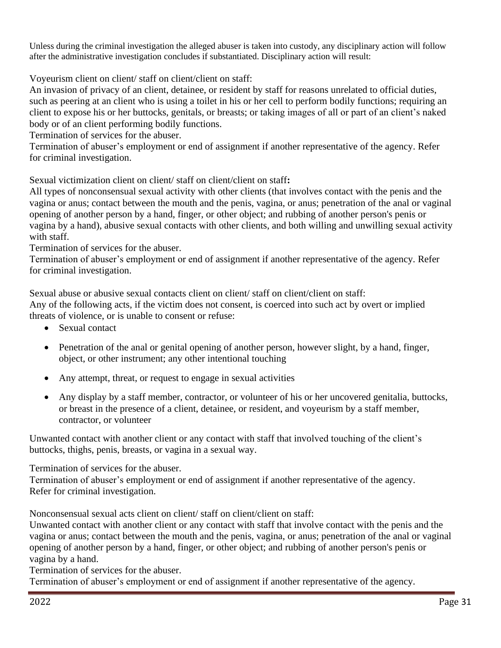Unless during the criminal investigation the alleged abuser is taken into custody, any disciplinary action will follow after the administrative investigation concludes if substantiated. Disciplinary action will result:

Voyeurism client on client/ staff on client/client on staff:

An invasion of privacy of an client, detainee, or resident by staff for reasons unrelated to official duties, such as peering at an client who is using a toilet in his or her cell to perform bodily functions; requiring an client to expose his or her buttocks, genitals, or breasts; or taking images of all or part of an client's naked body or of an client performing bodily functions.

Termination of services for the abuser.

Termination of abuser's employment or end of assignment if another representative of the agency. Refer for criminal investigation.

Sexual victimization client on client/ staff on client/client on staff**:** 

All types of nonconsensual sexual activity with other clients (that involves contact with the penis and the vagina or anus; contact between the mouth and the penis, vagina, or anus; penetration of the anal or vaginal opening of another person by a hand, finger, or other object; and rubbing of another person's penis or vagina by a hand), abusive sexual contacts with other clients, and both willing and unwilling sexual activity with staff.

Termination of services for the abuser.

Termination of abuser's employment or end of assignment if another representative of the agency. Refer for criminal investigation.

Sexual abuse or abusive sexual contacts client on client/ staff on client/client on staff: Any of the following acts, if the victim does not consent, is coerced into such act by overt or implied threats of violence, or is unable to consent or refuse:

- Sexual contact
- Penetration of the anal or genital opening of another person, however slight, by a hand, finger, object, or other instrument; any other intentional touching
- Any attempt, threat, or request to engage in sexual activities
- Any display by a staff member, contractor, or volunteer of his or her uncovered genitalia, buttocks, or breast in the presence of a client, detainee, or resident, and voyeurism by a staff member, contractor, or volunteer

Unwanted contact with another client or any contact with staff that involved touching of the client's buttocks, thighs, penis, breasts, or vagina in a sexual way.

Termination of services for the abuser.

Termination of abuser's employment or end of assignment if another representative of the agency. Refer for criminal investigation.

Nonconsensual sexual acts client on client/ staff on client/client on staff:

Unwanted contact with another client or any contact with staff that involve contact with the penis and the vagina or anus; contact between the mouth and the penis, vagina, or anus; penetration of the anal or vaginal opening of another person by a hand, finger, or other object; and rubbing of another person's penis or vagina by a hand.

Termination of services for the abuser.

Termination of abuser's employment or end of assignment if another representative of the agency.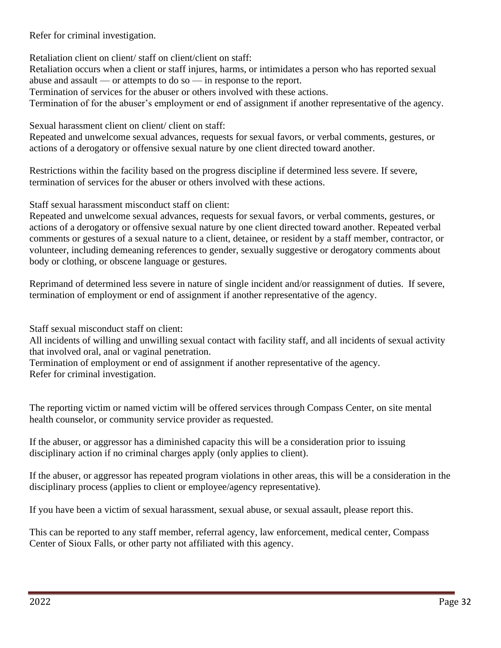Refer for criminal investigation.

Retaliation client on client/ staff on client/client on staff:

Retaliation occurs when a client or staff injures, harms, or intimidates a person who has reported sexual abuse and assault — or attempts to do so — in response to the report.

Termination of services for the abuser or others involved with these actions.

Termination of for the abuser's employment or end of assignment if another representative of the agency.

Sexual harassment client on client/ client on staff:

Repeated and unwelcome sexual advances, requests for sexual favors, or verbal comments, gestures, or actions of a derogatory or offensive sexual nature by one client directed toward another.

Restrictions within the facility based on the progress discipline if determined less severe. If severe, termination of services for the abuser or others involved with these actions.

Staff sexual harassment misconduct staff on client:

Repeated and unwelcome sexual advances, requests for sexual favors, or verbal comments, gestures, or actions of a derogatory or offensive sexual nature by one client directed toward another. Repeated verbal comments or gestures of a sexual nature to a client, detainee, or resident by a staff member, contractor, or volunteer, including demeaning references to gender, sexually suggestive or derogatory comments about body or clothing, or obscene language or gestures.

Reprimand of determined less severe in nature of single incident and/or reassignment of duties. If severe, termination of employment or end of assignment if another representative of the agency.

Staff sexual misconduct staff on client:

All incidents of willing and unwilling sexual contact with facility staff, and all incidents of sexual activity that involved oral, anal or vaginal penetration.

Termination of employment or end of assignment if another representative of the agency. Refer for criminal investigation.

The reporting victim or named victim will be offered services through Compass Center, on site mental health counselor, or community service provider as requested.

If the abuser, or aggressor has a diminished capacity this will be a consideration prior to issuing disciplinary action if no criminal charges apply (only applies to client).

If the abuser, or aggressor has repeated program violations in other areas, this will be a consideration in the disciplinary process (applies to client or employee/agency representative).

If you have been a victim of sexual harassment, sexual abuse, or sexual assault, please report this.

This can be reported to any staff member, referral agency, law enforcement, medical center, Compass Center of Sioux Falls, or other party not affiliated with this agency.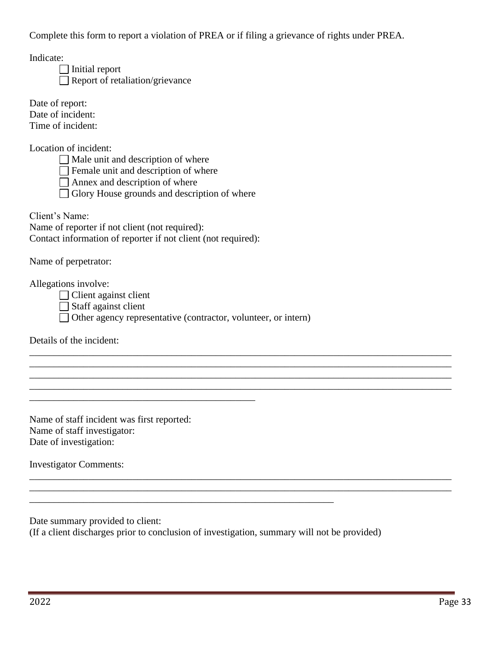Complete this form to report a violation of PREA or if filing a grievance of rights under PREA.

Indicate:

 $\Box$  Initial report Report of retaliation/grievance

Date of report: Date of incident: Time of incident:

Location of incident:

 $\Box$  Male unit and description of where

 $\Box$  Female unit and description of where

 $\Box$  Annex and description of where

Glory House grounds and description of where

Client's Name:

Name of reporter if not client (not required): Contact information of reporter if not client (not required):

\_\_\_\_\_\_\_\_\_\_\_\_\_\_\_\_\_\_\_\_\_\_\_\_\_\_\_\_\_\_\_\_\_\_\_\_\_\_\_\_\_\_\_\_\_\_

Name of perpetrator:

Allegations involve:

Client against client

Staff against client

Other agency representative (contractor, volunteer, or intern)

\_\_\_\_\_\_\_\_\_\_\_\_\_\_\_\_\_\_\_\_\_\_\_\_\_\_\_\_\_\_\_\_\_\_\_\_\_\_\_\_\_\_\_\_\_\_\_\_\_\_\_\_\_\_\_\_\_\_\_\_\_\_\_\_\_\_\_\_\_\_\_\_\_\_\_\_\_\_\_\_\_\_\_\_\_\_ \_\_\_\_\_\_\_\_\_\_\_\_\_\_\_\_\_\_\_\_\_\_\_\_\_\_\_\_\_\_\_\_\_\_\_\_\_\_\_\_\_\_\_\_\_\_\_\_\_\_\_\_\_\_\_\_\_\_\_\_\_\_\_\_\_\_\_\_\_\_\_\_\_\_\_\_\_\_\_\_\_\_\_\_\_\_ \_\_\_\_\_\_\_\_\_\_\_\_\_\_\_\_\_\_\_\_\_\_\_\_\_\_\_\_\_\_\_\_\_\_\_\_\_\_\_\_\_\_\_\_\_\_\_\_\_\_\_\_\_\_\_\_\_\_\_\_\_\_\_\_\_\_\_\_\_\_\_\_\_\_\_\_\_\_\_\_\_\_\_\_\_\_ \_\_\_\_\_\_\_\_\_\_\_\_\_\_\_\_\_\_\_\_\_\_\_\_\_\_\_\_\_\_\_\_\_\_\_\_\_\_\_\_\_\_\_\_\_\_\_\_\_\_\_\_\_\_\_\_\_\_\_\_\_\_\_\_\_\_\_\_\_\_\_\_\_\_\_\_\_\_\_\_\_\_\_\_\_\_

\_\_\_\_\_\_\_\_\_\_\_\_\_\_\_\_\_\_\_\_\_\_\_\_\_\_\_\_\_\_\_\_\_\_\_\_\_\_\_\_\_\_\_\_\_\_\_\_\_\_\_\_\_\_\_\_\_\_\_\_\_\_\_\_\_\_\_\_\_\_\_\_\_\_\_\_\_\_\_\_\_\_\_\_\_\_ \_\_\_\_\_\_\_\_\_\_\_\_\_\_\_\_\_\_\_\_\_\_\_\_\_\_\_\_\_\_\_\_\_\_\_\_\_\_\_\_\_\_\_\_\_\_\_\_\_\_\_\_\_\_\_\_\_\_\_\_\_\_\_\_\_\_\_\_\_\_\_\_\_\_\_\_\_\_\_\_\_\_\_\_\_\_

Details of the incident:

Name of staff incident was first reported: Name of staff investigator: Date of investigation:

Investigator Comments:

Date summary provided to client:

(If a client discharges prior to conclusion of investigation, summary will not be provided)

\_\_\_\_\_\_\_\_\_\_\_\_\_\_\_\_\_\_\_\_\_\_\_\_\_\_\_\_\_\_\_\_\_\_\_\_\_\_\_\_\_\_\_\_\_\_\_\_\_\_\_\_\_\_\_\_\_\_\_\_\_\_